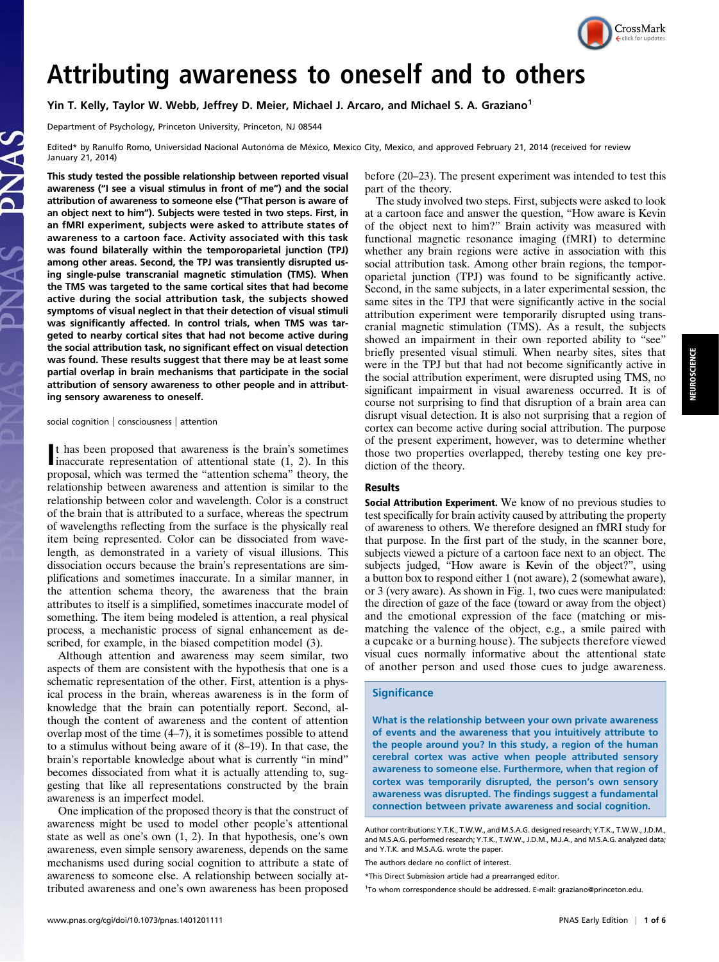

# Attributing awareness to oneself and to others

Yin T. Kelly, Taylor W. Webb, Jeffrey D. Meier, Michael J. Arcaro, and Michael S. A. Graziano<sup>1</sup>

Department of Psychology, Princeton University, Princeton, NJ 08544

Edited\* by Ranulfo Romo, Universidad Nacional Autonóma de México, Mexico City, Mexico, and approved February 21, 2014 (received for review January 21, 2014)

This study tested the possible relationship between reported visual awareness ("I see a visual stimulus in front of me") and the social attribution of awareness to someone else ("That person is aware of an object next to him"). Subjects were tested in two steps. First, in an fMRI experiment, subjects were asked to attribute states of awareness to a cartoon face. Activity associated with this task was found bilaterally within the temporoparietal junction (TPJ) among other areas. Second, the TPJ was transiently disrupted using single-pulse transcranial magnetic stimulation (TMS). When the TMS was targeted to the same cortical sites that had become active during the social attribution task, the subjects showed symptoms of visual neglect in that their detection of visual stimuli was significantly affected. In control trials, when TMS was targeted to nearby cortical sites that had not become active during the social attribution task, no significant effect on visual detection was found. These results suggest that there may be at least some partial overlap in brain mechanisms that participate in the social attribution of sensory awareness to other people and in attributing sensory awareness to oneself.

#### social cognition | consciousness | attention

It has been proposed that awareness is the brain's sometimes<br>inaccurate representation of attentional state (1, 2). In this t has been proposed that awareness is the brain's sometimes proposal, which was termed the "attention schema" theory, the relationship between awareness and attention is similar to the relationship between color and wavelength. Color is a construct of the brain that is attributed to a surface, whereas the spectrum of wavelengths reflecting from the surface is the physically real item being represented. Color can be dissociated from wavelength, as demonstrated in a variety of visual illusions. This dissociation occurs because the brain's representations are simplifications and sometimes inaccurate. In a similar manner, in the attention schema theory, the awareness that the brain attributes to itself is a simplified, sometimes inaccurate model of something. The item being modeled is attention, a real physical process, a mechanistic process of signal enhancement as described, for example, in the biased competition model (3).

Although attention and awareness may seem similar, two aspects of them are consistent with the hypothesis that one is a schematic representation of the other. First, attention is a physical process in the brain, whereas awareness is in the form of knowledge that the brain can potentially report. Second, although the content of awareness and the content of attention overlap most of the time (4–7), it is sometimes possible to attend to a stimulus without being aware of it (8–19). In that case, the brain's reportable knowledge about what is currently "in mind" becomes dissociated from what it is actually attending to, suggesting that like all representations constructed by the brain awareness is an imperfect model.

One implication of the proposed theory is that the construct of awareness might be used to model other people's attentional state as well as one's own (1, 2). In that hypothesis, one's own awareness, even simple sensory awareness, depends on the same mechanisms used during social cognition to attribute a state of awareness to someone else. A relationship between socially attributed awareness and one's own awareness has been proposed before (20–23). The present experiment was intended to test this part of the theory.

The study involved two steps. First, subjects were asked to look at a cartoon face and answer the question, "How aware is Kevin of the object next to him?" Brain activity was measured with functional magnetic resonance imaging (fMRI) to determine whether any brain regions were active in association with this social attribution task. Among other brain regions, the temporoparietal junction (TPJ) was found to be significantly active. Second, in the same subjects, in a later experimental session, the same sites in the TPJ that were significantly active in the social attribution experiment were temporarily disrupted using transcranial magnetic stimulation (TMS). As a result, the subjects showed an impairment in their own reported ability to "see" briefly presented visual stimuli. When nearby sites, sites that were in the TPJ but that had not become significantly active in the social attribution experiment, were disrupted using TMS, no significant impairment in visual awareness occurred. It is of course not surprising to find that disruption of a brain area can disrupt visual detection. It is also not surprising that a region of cortex can become active during social attribution. The purpose of the present experiment, however, was to determine whether those two properties overlapped, thereby testing one key prediction of the theory.

### Results

Social Attribution Experiment. We know of no previous studies to test specifically for brain activity caused by attributing the property of awareness to others. We therefore designed an fMRI study for that purpose. In the first part of the study, in the scanner bore, subjects viewed a picture of a cartoon face next to an object. The subjects judged, "How aware is Kevin of the object?", using a button box to respond either 1 (not aware), 2 (somewhat aware), or 3 (very aware). As shown in Fig. 1, two cues were manipulated: the direction of gaze of the face (toward or away from the object) and the emotional expression of the face (matching or mismatching the valence of the object, e.g., a smile paired with a cupcake or a burning house). The subjects therefore viewed visual cues normally informative about the attentional state of another person and used those cues to judge awareness.

## **Significance**

What is the relationship between your own private awareness of events and the awareness that you intuitively attribute to the people around you? In this study, a region of the human cerebral cortex was active when people attributed sensory awareness to someone else. Furthermore, when that region of cortex was temporarily disrupted, the person's own sensory awareness was disrupted. The findings suggest a fundamental connection between private awareness and social cognition.

Author contributions: Y.T.K., T.W.W., and M.S.A.G. designed research; Y.T.K., T.W.W., J.D.M., and M.S.A.G. performed research; Y.T.K., T.W.W., J.D.M., M.J.A., and M.S.A.G. analyzed data; and Y.T.K. and M.S.A.G. wrote the paper.

The authors declare no conflict of interest.

<sup>1</sup>To whom correspondence should be addressed. E-mail: [graziano@princeton.edu.](mailto:graziano@princeton.edu)

<sup>\*</sup>This Direct Submission article had a prearranged editor.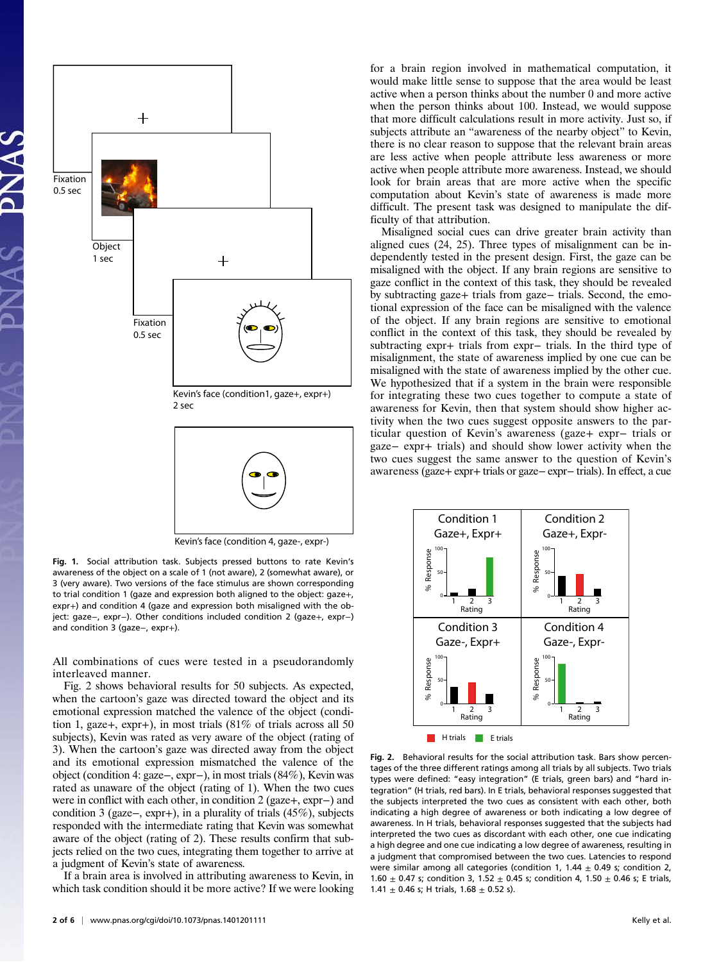

Kevin's face (condition 4, gaze-, expr-)

Fig. 1. Social attribution task. Subjects pressed buttons to rate Kevin's awareness of the object on a scale of 1 (not aware), 2 (somewhat aware), or 3 (very aware). Two versions of the face stimulus are shown corresponding to trial condition 1 (gaze and expression both aligned to the object: gaze+, expr+) and condition 4 (gaze and expression both misaligned with the object: gaze−, expr−). Other conditions included condition 2 (gaze+, expr−) and condition 3 (gaze−, expr+).

All combinations of cues were tested in a pseudorandomly interleaved manner.

Fig. 2 shows behavioral results for 50 subjects. As expected, when the cartoon's gaze was directed toward the object and its emotional expression matched the valence of the object (condition 1, gaze+, expr+), in most trials (81% of trials across all 50 subjects), Kevin was rated as very aware of the object (rating of 3). When the cartoon's gaze was directed away from the object and its emotional expression mismatched the valence of the object (condition 4: gaze−, expr−), in most trials (84%), Kevin was rated as unaware of the object (rating of 1). When the two cues were in conflict with each other, in condition 2 (gaze+, expr−) and condition 3 (gaze−, expr+), in a plurality of trials (45%), subjects responded with the intermediate rating that Kevin was somewhat aware of the object (rating of 2). These results confirm that subjects relied on the two cues, integrating them together to arrive at a judgment of Kevin's state of awareness.

If a brain area is involved in attributing awareness to Kevin, in which task condition should it be more active? If we were looking for a brain region involved in mathematical computation, it would make little sense to suppose that the area would be least active when a person thinks about the number 0 and more active when the person thinks about 100. Instead, we would suppose that more difficult calculations result in more activity. Just so, if subjects attribute an "awareness of the nearby object" to Kevin, there is no clear reason to suppose that the relevant brain areas are less active when people attribute less awareness or more active when people attribute more awareness. Instead, we should look for brain areas that are more active when the specific computation about Kevin's state of awareness is made more difficult. The present task was designed to manipulate the difficulty of that attribution.

Misaligned social cues can drive greater brain activity than aligned cues (24, 25). Three types of misalignment can be independently tested in the present design. First, the gaze can be misaligned with the object. If any brain regions are sensitive to gaze conflict in the context of this task, they should be revealed by subtracting gaze+ trials from gaze− trials. Second, the emotional expression of the face can be misaligned with the valence of the object. If any brain regions are sensitive to emotional conflict in the context of this task, they should be revealed by subtracting expr+ trials from expr− trials. In the third type of misalignment, the state of awareness implied by one cue can be misaligned with the state of awareness implied by the other cue. We hypothesized that if a system in the brain were responsible for integrating these two cues together to compute a state of awareness for Kevin, then that system should show higher activity when the two cues suggest opposite answers to the particular question of Kevin's awareness (gaze+ expr− trials or gaze− expr+ trials) and should show lower activity when the two cues suggest the same answer to the question of Kevin's awareness (gaze+ expr+ trials or gaze− expr− trials). In effect, a cue



Fig. 2. Behavioral results for the social attribution task. Bars show percentages of the three different ratings among all trials by all subjects. Two trials types were defined: "easy integration" (E trials, green bars) and "hard integration" (H trials, red bars). In E trials, behavioral responses suggested that the subjects interpreted the two cues as consistent with each other, both indicating a high degree of awareness or both indicating a low degree of awareness. In H trials, behavioral responses suggested that the subjects had interpreted the two cues as discordant with each other, one cue indicating a high degree and one cue indicating a low degree of awareness, resulting in a judgment that compromised between the two cues. Latencies to respond were similar among all categories (condition 1, 1.44  $\pm$  0.49 s; condition 2, 1.60  $\pm$  0.47 s; condition 3, 1.52  $\pm$  0.45 s; condition 4, 1.50  $\pm$  0.46 s; E trials, 1.41  $\pm$  0.46 s; H trials, 1.68  $\pm$  0.52 s).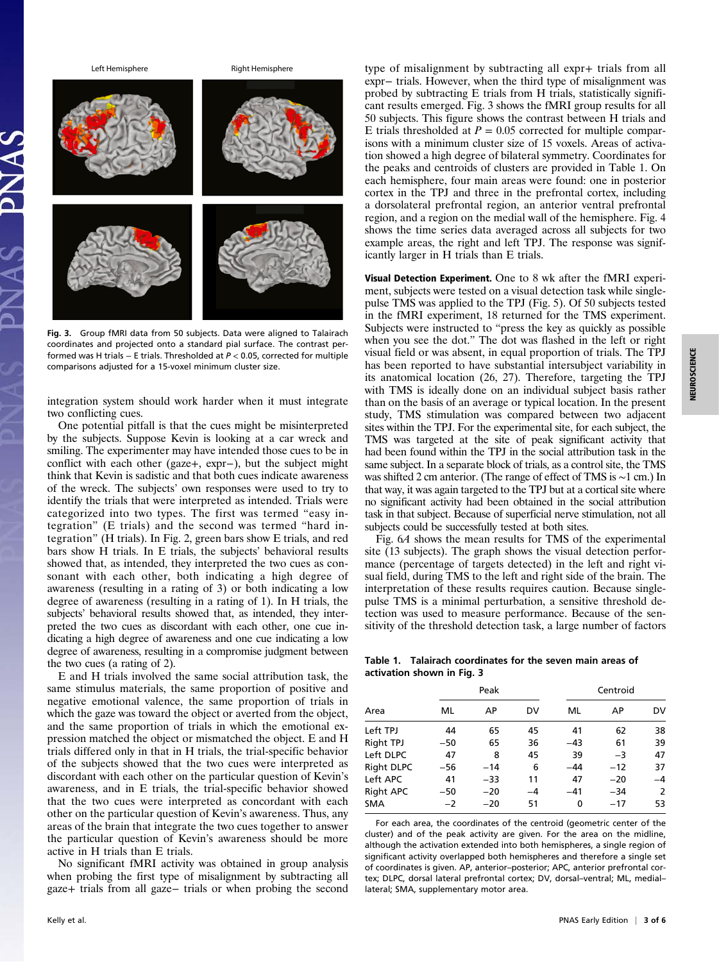

Fig. 3. Group fMRI data from 50 subjects. Data were aligned to Talairach coordinates and projected onto a standard pial surface. The contrast performed was H trials − E trials. Thresholded at P < 0.05, corrected for multiple comparisons adjusted for a 15-voxel minimum cluster size.

integration system should work harder when it must integrate two conflicting cues.

One potential pitfall is that the cues might be misinterpreted by the subjects. Suppose Kevin is looking at a car wreck and smiling. The experimenter may have intended those cues to be in conflict with each other (gaze+, expr−), but the subject might think that Kevin is sadistic and that both cues indicate awareness of the wreck. The subjects' own responses were used to try to identify the trials that were interpreted as intended. Trials were categorized into two types. The first was termed "easy integration" (E trials) and the second was termed "hard integration" (H trials). In Fig. 2, green bars show E trials, and red bars show H trials. In E trials, the subjects' behavioral results showed that, as intended, they interpreted the two cues as consonant with each other, both indicating a high degree of awareness (resulting in a rating of 3) or both indicating a low degree of awareness (resulting in a rating of 1). In H trials, the subjects' behavioral results showed that, as intended, they interpreted the two cues as discordant with each other, one cue indicating a high degree of awareness and one cue indicating a low degree of awareness, resulting in a compromise judgment between the two cues (a rating of 2).

E and H trials involved the same social attribution task, the same stimulus materials, the same proportion of positive and negative emotional valence, the same proportion of trials in which the gaze was toward the object or averted from the object, and the same proportion of trials in which the emotional expression matched the object or mismatched the object. E and H trials differed only in that in H trials, the trial-specific behavior of the subjects showed that the two cues were interpreted as discordant with each other on the particular question of Kevin's awareness, and in E trials, the trial-specific behavior showed that the two cues were interpreted as concordant with each other on the particular question of Kevin's awareness. Thus, any areas of the brain that integrate the two cues together to answer the particular question of Kevin's awareness should be more active in H trials than E trials.

No significant fMRI activity was obtained in group analysis when probing the first type of misalignment by subtracting all gaze+ trials from all gaze− trials or when probing the second type of misalignment by subtracting all expr+ trials from all expr− trials. However, when the third type of misalignment was probed by subtracting E trials from H trials, statistically significant results emerged. Fig. 3 shows the fMRI group results for all 50 subjects. This figure shows the contrast between H trials and E trials thresholded at  $P = 0.05$  corrected for multiple comparisons with a minimum cluster size of 15 voxels. Areas of activation showed a high degree of bilateral symmetry. Coordinates for the peaks and centroids of clusters are provided in Table 1. On each hemisphere, four main areas were found: one in posterior cortex in the TPJ and three in the prefrontal cortex, including a dorsolateral prefrontal region, an anterior ventral prefrontal region, and a region on the medial wall of the hemisphere. Fig. 4 shows the time series data averaged across all subjects for two example areas, the right and left TPJ. The response was significantly larger in H trials than E trials.

Visual Detection Experiment. One to 8 wk after the fMRI experiment, subjects were tested on a visual detection task while singlepulse TMS was applied to the TPJ (Fig. 5). Of 50 subjects tested in the fMRI experiment, 18 returned for the TMS experiment. Subjects were instructed to "press the key as quickly as possible when you see the dot." The dot was flashed in the left or right visual field or was absent, in equal proportion of trials. The TPJ has been reported to have substantial intersubject variability in its anatomical location (26, 27). Therefore, targeting the TPJ with TMS is ideally done on an individual subject basis rather than on the basis of an average or typical location. In the present study, TMS stimulation was compared between two adjacent sites within the TPJ. For the experimental site, for each subject, the TMS was targeted at the site of peak significant activity that had been found within the TPJ in the social attribution task in the same subject. In a separate block of trials, as a control site, the TMS was shifted 2 cm anterior. (The range of effect of TMS is ∼1 cm.) In that way, it was again targeted to the TPJ but at a cortical site where no significant activity had been obtained in the social attribution task in that subject. Because of superficial nerve stimulation, not all subjects could be successfully tested at both sites.

Fig. 6A shows the mean results for TMS of the experimental site (13 subjects). The graph shows the visual detection performance (percentage of targets detected) in the left and right visual field, during TMS to the left and right side of the brain. The interpretation of these results requires caution. Because singlepulse TMS is a minimal perturbation, a sensitive threshold detection was used to measure performance. Because of the sensitivity of the threshold detection task, a large number of factors

Table 1. Talairach coordinates for the seven main areas of activation shown in Fig. 3

| Area       | Peak  |       |    | Centroid |       |      |
|------------|-------|-------|----|----------|-------|------|
|            | ML    | АP    | DV | ML       | AP    | DV   |
| Left TPJ   | 44    | 65    | 45 | 41       | 62    | 38   |
| Right TPJ  | $-50$ | 65    | 36 | $-43$    | 61    | 39   |
| Left DLPC  | 47    | 8     | 45 | 39       | $-3$  | 47   |
| Right DLPC | $-56$ | $-14$ | 6  | $-44$    | $-12$ | 37   |
| Left APC   | 41    | $-33$ | 11 | 47       | $-20$ | $-4$ |
| Right APC  | $-50$ | $-20$ | -4 | $-41$    | $-34$ | 2    |
| <b>SMA</b> | $-2$  | $-20$ | 51 | 0        | $-17$ | 53   |

For each area, the coordinates of the centroid (geometric center of the cluster) and of the peak activity are given. For the area on the midline, although the activation extended into both hemispheres, a single region of significant activity overlapped both hemispheres and therefore a single set of coordinates is given. AP, anterior–posterior; APC, anterior prefrontal cortex; DLPC, dorsal lateral prefrontal cortex; DV, dorsal–ventral; ML, medial– lateral; SMA, supplementary motor area.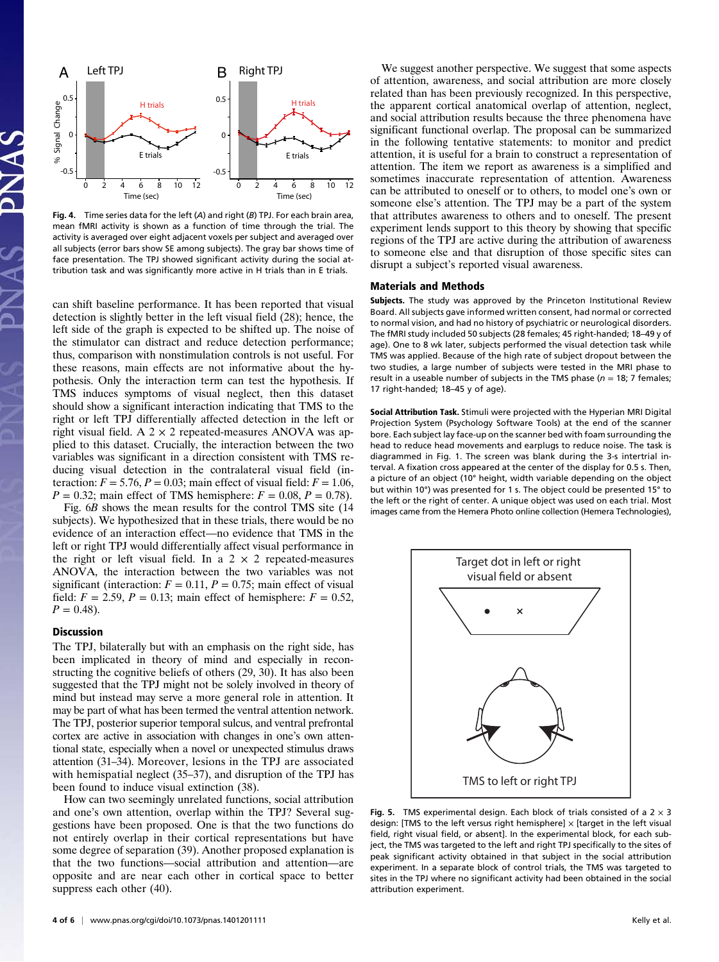

Fig. 4. Time series data for the left  $(A)$  and right  $(B)$  TPJ. For each brain area, mean fMRI activity is shown as a function of time through the trial. The activity is averaged over eight adjacent voxels per subject and averaged over all subjects (error bars show SE among subjects). The gray bar shows time of face presentation. The TPJ showed significant activity during the social attribution task and was significantly more active in H trials than in E trials.

can shift baseline performance. It has been reported that visual detection is slightly better in the left visual field (28); hence, the left side of the graph is expected to be shifted up. The noise of the stimulator can distract and reduce detection performance; thus, comparison with nonstimulation controls is not useful. For these reasons, main effects are not informative about the hypothesis. Only the interaction term can test the hypothesis. If TMS induces symptoms of visual neglect, then this dataset should show a significant interaction indicating that TMS to the right or left TPJ differentially affected detection in the left or right visual field. A  $2 \times 2$  repeated-measures ANOVA was applied to this dataset. Crucially, the interaction between the two variables was significant in a direction consistent with TMS reducing visual detection in the contralateral visual field (interaction:  $F = 5.76$ ,  $P = 0.03$ ; main effect of visual field:  $F = 1.06$ ,  $P = 0.32$ ; main effect of TMS hemisphere:  $F = 0.08$ ,  $P = 0.78$ ).

Fig. 6B shows the mean results for the control TMS site (14 subjects). We hypothesized that in these trials, there would be no evidence of an interaction effect—no evidence that TMS in the left or right TPJ would differentially affect visual performance in the right or left visual field. In a  $2 \times 2$  repeated-measures ANOVA, the interaction between the two variables was not significant (interaction:  $F = 0.11$ ,  $P = 0.75$ ; main effect of visual field:  $F = 2.59$ ,  $P = 0.13$ ; main effect of hemisphere:  $F = 0.52$ ,  $P = 0.48$ ).

## Discussion

The TPJ, bilaterally but with an emphasis on the right side, has been implicated in theory of mind and especially in reconstructing the cognitive beliefs of others (29, 30). It has also been suggested that the TPJ might not be solely involved in theory of mind but instead may serve a more general role in attention. It may be part of what has been termed the ventral attention network. The TPJ, posterior superior temporal sulcus, and ventral prefrontal cortex are active in association with changes in one's own attentional state, especially when a novel or unexpected stimulus draws attention (31–34). Moreover, lesions in the TPJ are associated with hemispatial neglect (35–37), and disruption of the TPJ has been found to induce visual extinction (38).

How can two seemingly unrelated functions, social attribution and one's own attention, overlap within the TPJ? Several suggestions have been proposed. One is that the two functions do not entirely overlap in their cortical representations but have some degree of separation (39). Another proposed explanation is that the two functions—social attribution and attention—are opposite and are near each other in cortical space to better suppress each other (40).

We suggest another perspective. We suggest that some aspects of attention, awareness, and social attribution are more closely related than has been previously recognized. In this perspective, the apparent cortical anatomical overlap of attention, neglect, and social attribution results because the three phenomena have significant functional overlap. The proposal can be summarized in the following tentative statements: to monitor and predict attention, it is useful for a brain to construct a representation of attention. The item we report as awareness is a simplified and sometimes inaccurate representation of attention. Awareness can be attributed to oneself or to others, to model one's own or someone else's attention. The TPJ may be a part of the system that attributes awareness to others and to oneself. The present experiment lends support to this theory by showing that specific regions of the TPJ are active during the attribution of awareness to someone else and that disruption of those specific sites can disrupt a subject's reported visual awareness.

#### Materials and Methods

Subjects. The study was approved by the Princeton Institutional Review Board. All subjects gave informed written consent, had normal or corrected to normal vision, and had no history of psychiatric or neurological disorders. The fMRI study included 50 subjects (28 females; 45 right-handed; 18–49 y of age). One to 8 wk later, subjects performed the visual detection task while TMS was applied. Because of the high rate of subject dropout between the two studies, a large number of subjects were tested in the MRI phase to result in a useable number of subjects in the TMS phase ( $n = 18$ ; 7 females; 17 right-handed; 18–45 y of age).

Social Attribution Task. Stimuli were projected with the Hyperian MRI Digital Projection System (Psychology Software Tools) at the end of the scanner bore. Each subject lay face-up on the scanner bed with foam surrounding the head to reduce head movements and earplugs to reduce noise. The task is diagrammed in Fig. 1. The screen was blank during the 3-s intertrial interval. A fixation cross appeared at the center of the display for 0.5 s. Then, a picture of an object (10° height, width variable depending on the object but within 10°) was presented for 1 s. The object could be presented 15° to the left or the right of center. A unique object was used on each trial. Most images came from the Hemera Photo online collection (Hemera Technologies),



Fig. 5. TMS experimental design. Each block of trials consisted of a  $2 \times 3$ design: [TMS to the left versus right hemisphere]  $\times$  [target in the left visual field, right visual field, or absent]. In the experimental block, for each subject, the TMS was targeted to the left and right TPJ specifically to the sites of peak significant activity obtained in that subject in the social attribution experiment. In a separate block of control trials, the TMS was targeted to sites in the TPJ where no significant activity had been obtained in the social attribution experiment.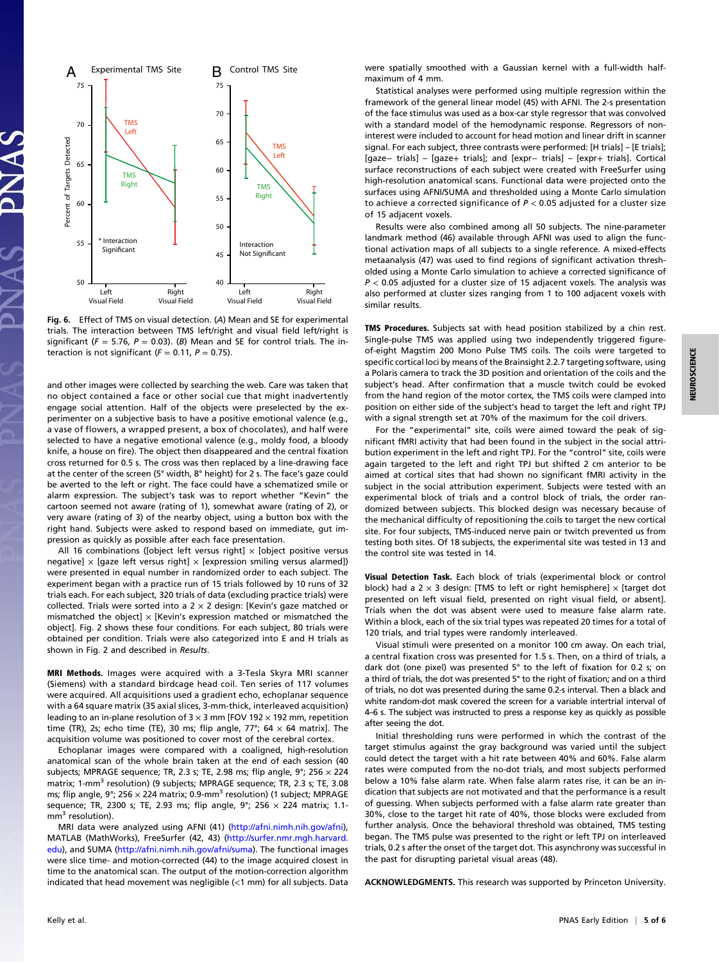

Fig. 6. Effect of TMS on visual detection. (A) Mean and SE for experimental trials. The interaction between TMS left/right and visual field left/right is significant ( $F = 5.76$ ,  $P = 0.03$ ). (B) Mean and SE for control trials. The interaction is not significant ( $F = 0.11$ ,  $P = 0.75$ ).

and other images were collected by searching the web. Care was taken that no object contained a face or other social cue that might inadvertently engage social attention. Half of the objects were preselected by the experimenter on a subjective basis to have a positive emotional valence (e.g., a vase of flowers, a wrapped present, a box of chocolates), and half were selected to have a negative emotional valence (e.g., moldy food, a bloody knife, a house on fire). The object then disappeared and the central fixation cross returned for 0.5 s. The cross was then replaced by a line-drawing face at the center of the screen (5° width, 8° height) for 2 s. The face's gaze could be averted to the left or right. The face could have a schematized smile or alarm expression. The subject's task was to report whether "Kevin" the cartoon seemed not aware (rating of 1), somewhat aware (rating of 2), or very aware (rating of 3) of the nearby object, using a button box with the right hand. Subjects were asked to respond based on immediate, gut impression as quickly as possible after each face presentation.

All 16 combinations ([object left versus right]  $\times$  [object positive versus negative]  $\times$  [gaze left versus right]  $\times$  [expression smiling versus alarmed]) were presented in equal number in randomized order to each subject. The experiment began with a practice run of 15 trials followed by 10 runs of 32 trials each. For each subject, 320 trials of data (excluding practice trials) were collected. Trials were sorted into a  $2 \times 2$  design: [Kevin's gaze matched or mismatched the object]  $\times$  [Kevin's expression matched or mismatched the object]. Fig. 2 shows these four conditions. For each subject, 80 trials were obtained per condition. Trials were also categorized into E and H trials as shown in Fig. 2 and described in Results.

MRI Methods. Images were acquired with a 3-Tesla Skyra MRI scanner (Siemens) with a standard birdcage head coil. Ten series of 117 volumes were acquired. All acquisitions used a gradient echo, echoplanar sequence with a 64 square matrix (35 axial slices, 3-mm-thick, interleaved acquisition) leading to an in-plane resolution of 3  $\times$  3 mm [FOV 192  $\times$  192 mm, repetition time (TR), 2s; echo time (TE), 30 ms; flip angle, 77°; 64  $\times$  64 matrix]. The acquisition volume was positioned to cover most of the cerebral cortex.

Echoplanar images were compared with a coaligned, high-resolution anatomical scan of the whole brain taken at the end of each session (40 subjects; MPRAGE sequence; TR, 2.3 s; TE, 2.98 ms; flip angle,  $9^{\circ}$ ; 256  $\times$  224 matrix; 1-mm<sup>3</sup> resolution) (9 subjects; MPRAGE sequence; TR, 2.3 s; TE, 3.08 ms; flip angle, 9°; 256  $\times$  224 matrix; 0.9-mm<sup>3</sup> resolution) (1 subject; MPRAGE sequence; TR, 2300 s; TE, 2.93 ms; flip angle,  $9^{\circ}$ ; 256  $\times$  224 matrix; 1.1 $mm<sup>3</sup>$  resolution).

MRI data were analyzed using AFNI (41) [\(http://afni.nimh.nih.gov/afni](http://afni.nimh.nih.gov/afni)), MATLAB (MathWorks), FreeSurfer (42, 43) ([http://surfer.nmr.mgh.harvard.](http://surfer.nmr.mgh.harvard.edu) [edu\)](http://surfer.nmr.mgh.harvard.edu), and SUMA ([http://afni.nimh.nih.gov/afni/suma\)](http://afni.nimh.nih.gov/afni/suma). The functional images were slice time- and motion-corrected (44) to the image acquired closest in time to the anatomical scan. The output of the motion-correction algorithm indicated that head movement was negligible (<1 mm) for all subjects. Data

were spatially smoothed with a Gaussian kernel with a full-width halfmaximum of 4 mm.

Statistical analyses were performed using multiple regression within the framework of the general linear model (45) with AFNI. The 2-s presentation of the face stimulus was used as a box-car style regressor that was convolved with a standard model of the hemodynamic response. Regressors of noninterest were included to account for head motion and linear drift in scanner signal. For each subject, three contrasts were performed: [H trials] – [E trials]; [gaze− trials] – [gaze+ trials]; and [expr− trials] – [expr+ trials]. Cortical surface reconstructions of each subject were created with FreeSurfer using high-resolution anatomical scans. Functional data were projected onto the surfaces using AFNI/SUMA and thresholded using a Monte Carlo simulation to achieve a corrected significance of  $P < 0.05$  adjusted for a cluster size of 15 adjacent voxels.

Results were also combined among all 50 subjects. The nine-parameter landmark method (46) available through AFNI was used to align the functional activation maps of all subjects to a single reference. A mixed-effects metaanalysis (47) was used to find regions of significant activation thresholded using a Monte Carlo simulation to achieve a corrected significance of  $P < 0.05$  adjusted for a cluster size of 15 adjacent voxels. The analysis was also performed at cluster sizes ranging from 1 to 100 adjacent voxels with similar results.

TMS Procedures. Subjects sat with head position stabilized by a chin rest. Single-pulse TMS was applied using two independently triggered figureof-eight Magstim 200 Mono Pulse TMS coils. The coils were targeted to specific cortical loci by means of the Brainsight 2.2.7 targeting software, using a Polaris camera to track the 3D position and orientation of the coils and the subject's head. After confirmation that a muscle twitch could be evoked from the hand region of the motor cortex, the TMS coils were clamped into position on either side of the subject's head to target the left and right TPJ with a signal strength set at 70% of the maximum for the coil drivers.

For the "experimental" site, coils were aimed toward the peak of significant fMRI activity that had been found in the subject in the social attribution experiment in the left and right TPJ. For the "control" site, coils were again targeted to the left and right TPJ but shifted 2 cm anterior to be aimed at cortical sites that had shown no significant fMRI activity in the subject in the social attribution experiment. Subjects were tested with an experimental block of trials and a control block of trials, the order randomized between subjects. This blocked design was necessary because of the mechanical difficulty of repositioning the coils to target the new cortical site. For four subjects, TMS-induced nerve pain or twitch prevented us from testing both sites. Of 18 subjects, the experimental site was tested in 13 and the control site was tested in 14.

Visual Detection Task. Each block of trials (experimental block or control block) had a 2  $\times$  3 design: [TMS to left or right hemisphere]  $\times$  [target dot presented on left visual field, presented on right visual field, or absent]. Trials when the dot was absent were used to measure false alarm rate. Within a block, each of the six trial types was repeated 20 times for a total of 120 trials, and trial types were randomly interleaved.

Visual stimuli were presented on a monitor 100 cm away. On each trial, a central fixation cross was presented for 1.5 s. Then, on a third of trials, a dark dot (one pixel) was presented 5° to the left of fixation for 0.2 s; on a third of trials, the dot was presented 5° to the right of fixation; and on a third of trials, no dot was presented during the same 0.2-s interval. Then a black and white random-dot mask covered the screen for a variable intertrial interval of 4–6 s. The subject was instructed to press a response key as quickly as possible after seeing the dot.

Initial thresholding runs were performed in which the contrast of the target stimulus against the gray background was varied until the subject could detect the target with a hit rate between 40% and 60%. False alarm rates were computed from the no-dot trials, and most subjects performed below a 10% false alarm rate. When false alarm rates rise, it can be an indication that subjects are not motivated and that the performance is a result of guessing. When subjects performed with a false alarm rate greater than 30%, close to the target hit rate of 40%, those blocks were excluded from further analysis. Once the behavioral threshold was obtained, TMS testing began. The TMS pulse was presented to the right or left TPJ on interleaved trials, 0.2 s after the onset of the target dot. This asynchrony was successful in the past for disrupting parietal visual areas (48).

ACKNOWLEDGMENTS. This research was supported by Princeton University.